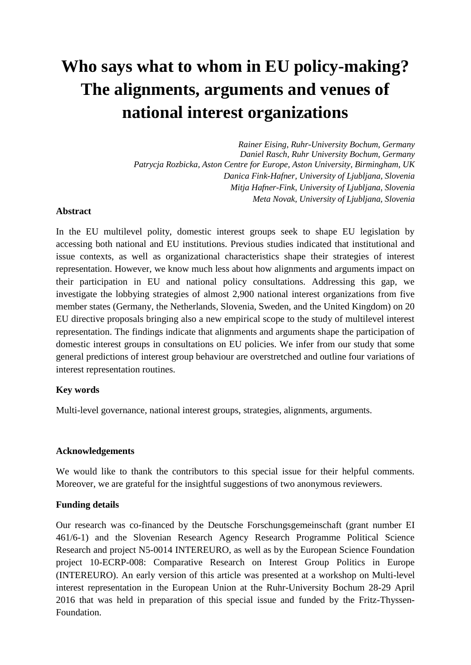# **Who says what to whom in EU policy-making? The alignments, arguments and venues of national interest organizations**

*Rainer Eising, Ruhr-University Bochum, Germany Daniel Rasch, Ruhr University Bochum, Germany Patrycja Rozbicka, Aston Centre for Europe, Aston University, Birmingham, UK Danica Fink-Hafner, University of Ljubljana, Slovenia Mitja Hafner-Fink, University of Ljubljana, Slovenia Meta Novak, University of Ljubljana, Slovenia*

# **Abstract**

In the EU multilevel polity, domestic interest groups seek to shape EU legislation by accessing both national and EU institutions. Previous studies indicated that institutional and issue contexts, as well as organizational characteristics shape their strategies of interest representation. However, we know much less about how alignments and arguments impact on their participation in EU and national policy consultations. Addressing this gap, we investigate the lobbying strategies of almost 2,900 national interest organizations from five member states (Germany, the Netherlands, Slovenia, Sweden, and the United Kingdom) on 20 EU directive proposals bringing also a new empirical scope to the study of multilevel interest representation. The findings indicate that alignments and arguments shape the participation of domestic interest groups in consultations on EU policies. We infer from our study that some general predictions of interest group behaviour are overstretched and outline four variations of interest representation routines.

# **Key words**

Multi-level governance, national interest groups, strategies, alignments, arguments.

# **Acknowledgements**

We would like to thank the contributors to this special issue for their helpful comments. Moreover, we are grateful for the insightful suggestions of two anonymous reviewers.

# **Funding details**

Our research was co-financed by the Deutsche Forschungsgemeinschaft (grant number EI 461/6-1) and the Slovenian Research Agency Research Programme Political Science Research and project N5-0014 INTEREURO, as well as by the European Science Foundation project 10-ECRP-008: Comparative Research on Interest Group Politics in Europe (INTEREURO). An early version of this article was presented at a workshop on Multi-level interest representation in the European Union at the Ruhr-University Bochum 28-29 April 2016 that was held in preparation of this special issue and funded by the Fritz-Thyssen-Foundation.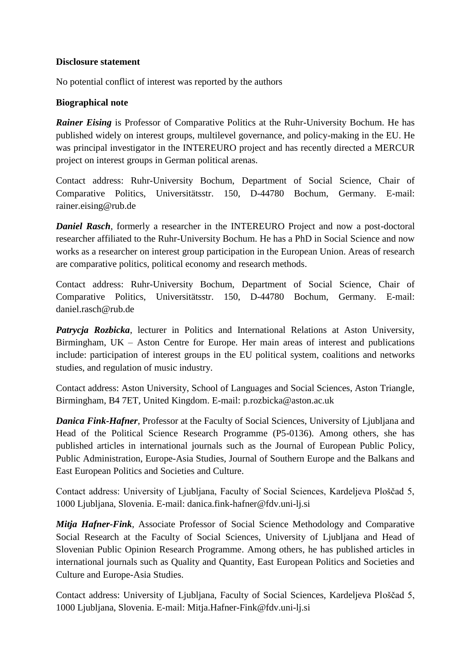# **Disclosure statement**

No potential conflict of interest was reported by the authors

# **Biographical note**

*Rainer Eising* is Professor of Comparative Politics at the Ruhr-University Bochum. He has published widely on interest groups, multilevel governance, and policy-making in the EU. He was principal investigator in the INTEREURO project and has recently directed a MERCUR project on interest groups in German political arenas.

Contact address: Ruhr-University Bochum, Department of Social Science, Chair of Comparative Politics, Universitätsstr. 150, D-44780 Bochum, Germany. E-mail: rainer.eising@rub.de

*Daniel Rasch*, formerly a researcher in the INTEREURO Project and now a post-doctoral researcher affiliated to the Ruhr-University Bochum. He has a PhD in Social Science and now works as a researcher on interest group participation in the European Union. Areas of research are comparative politics, political economy and research methods.

Contact address: Ruhr-University Bochum, Department of Social Science, Chair of Comparative Politics, Universitätsstr. 150, D-44780 Bochum, Germany. E-mail: daniel.rasch@rub.de

*Patrycja Rozbicka*, lecturer in Politics and International Relations at Aston University, Birmingham, UK – Aston Centre for Europe. Her main areas of interest and publications include: participation of interest groups in the EU political system, coalitions and networks studies, and regulation of music industry.

Contact address: Aston University, School of Languages and Social Sciences, Aston Triangle, Birmingham, B4 7ET, United Kingdom. E-mail: p.rozbicka@aston.ac.uk

*Danica Fink-Hafner*, Professor at the Faculty of Social Sciences, University of Ljubljana and Head of the Political Science Research Programme (P5-0136). Among others, she has published articles in international journals such as the Journal of European Public Policy, Public Administration, Europe-Asia Studies, Journal of Southern Europe and the Balkans and East European Politics and Societies and Culture.

Contact address: University of Ljubljana, Faculty of Social Sciences, Kardeljeva Ploščad 5, 1000 Ljubljana, Slovenia. E-mail: danica.fink-hafner@fdv.uni-lj.si

*Mitja Hafner-Fink*, Associate Professor of Social Science Methodology and Comparative Social Research at the Faculty of Social Sciences, University of Ljubljana and Head of Slovenian Public Opinion Research Programme. Among others, he has published articles in international journals such as Quality and Quantity, East European Politics and Societies and Culture and Europe-Asia Studies.

Contact address: University of Ljubljana, Faculty of Social Sciences, Kardeljeva Ploščad 5, 1000 Ljubljana, Slovenia. E-mail: Mitja.Hafner-Fink@fdv.uni-lj.si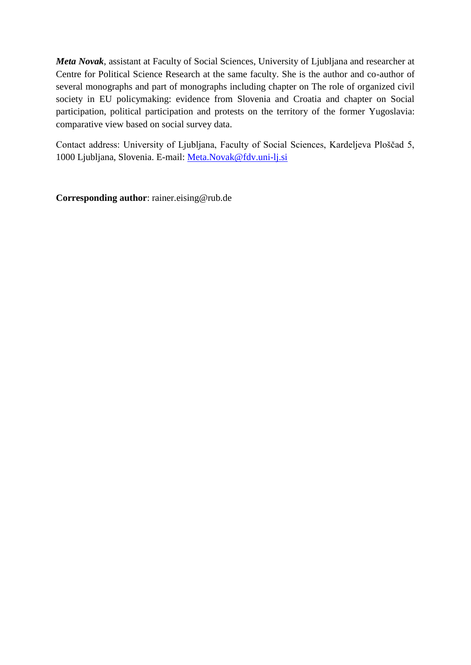*Meta Novak*, assistant at Faculty of Social Sciences, University of Ljubljana and researcher at Centre for Political Science Research at the same faculty. She is the author and co-author of several monographs and part of monographs including chapter on The role of organized civil society in EU policymaking: evidence from Slovenia and Croatia and chapter on Social participation, political participation and protests on the territory of the former Yugoslavia: comparative view based on social survey data.

Contact address: University of Ljubljana, Faculty of Social Sciences, Kardeljeva Ploščad 5, 1000 Ljubljana, Slovenia. E-mail: [Meta.Novak@fdv.uni-lj.si](mailto:Meta.Novak@fdv.uni-lj.si)

**Corresponding author**: rainer.eising@rub.de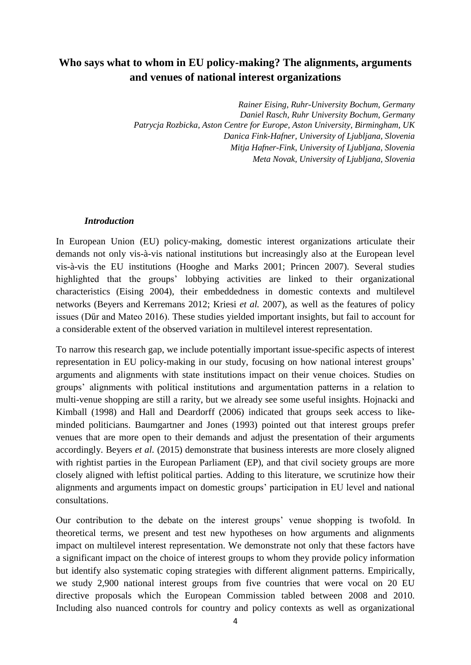# **Who says what to whom in EU policy-making? The alignments, arguments and venues of national interest organizations**

*Rainer Eising, Ruhr-University Bochum, Germany Daniel Rasch, Ruhr University Bochum, Germany Patrycja Rozbicka, Aston Centre for Europe, Aston University, Birmingham, UK Danica Fink-Hafner, University of Ljubljana, Slovenia Mitja Hafner-Fink, University of Ljubljana, Slovenia Meta Novak, University of Ljubljana, Slovenia*

# *Introduction*

In European Union (EU) policy-making, domestic interest organizations articulate their demands not only vis-à-vis national institutions but increasingly also at the European level vis-à-vis the EU institutions (Hooghe and Marks 2001; Princen 2007). Several studies highlighted that the groups' lobbying activities are linked to their organizational characteristics (Eising 2004), their embeddedness in domestic contexts and multilevel networks (Beyers and Kerremans 2012; Kriesi *et al.* 2007), as well as the features of policy issues (Dűr and Mateo 2016). These studies yielded important insights, but fail to account for a considerable extent of the observed variation in multilevel interest representation.

To narrow this research gap, we include potentially important issue-specific aspects of interest representation in EU policy-making in our study, focusing on how national interest groups' arguments and alignments with state institutions impact on their venue choices. Studies on groups' alignments with political institutions and argumentation patterns in a relation to multi-venue shopping are still a rarity, but we already see some useful insights. Hojnacki and Kimball (1998) and Hall and Deardorff (2006) indicated that groups seek access to likeminded politicians. Baumgartner and Jones (1993) pointed out that interest groups prefer venues that are more open to their demands and adjust the presentation of their arguments accordingly. Beyers *et al.* (2015) demonstrate that business interests are more closely aligned with rightist parties in the European Parliament (EP), and that civil society groups are more closely aligned with leftist political parties. Adding to this literature, we scrutinize how their alignments and arguments impact on domestic groups' participation in EU level and national consultations.

Our contribution to the debate on the interest groups' venue shopping is twofold. In theoretical terms, we present and test new hypotheses on how arguments and alignments impact on multilevel interest representation. We demonstrate not only that these factors have a significant impact on the choice of interest groups to whom they provide policy information but identify also systematic coping strategies with different alignment patterns. Empirically, we study 2,900 national interest groups from five countries that were vocal on 20 EU directive proposals which the European Commission tabled between 2008 and 2010. Including also nuanced controls for country and policy contexts as well as organizational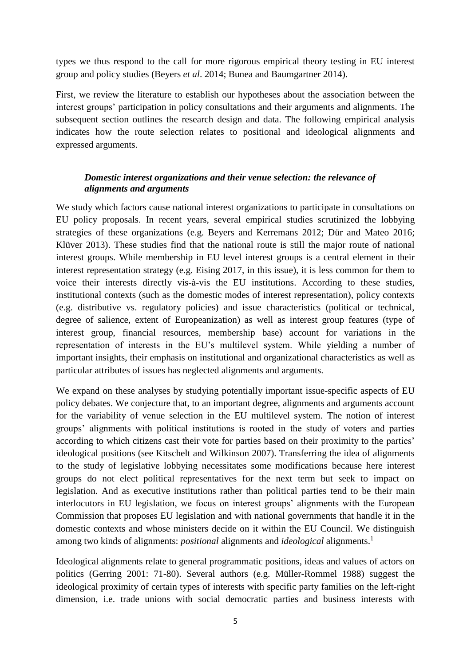types we thus respond to the call for more rigorous empirical theory testing in EU interest group and policy studies (Beyers *et al*. 2014; Bunea and Baumgartner 2014).

First, we review the literature to establish our hypotheses about the association between the interest groups' participation in policy consultations and their arguments and alignments. The subsequent section outlines the research design and data. The following empirical analysis indicates how the route selection relates to positional and ideological alignments and expressed arguments.

# *Domestic interest organizations and their venue selection: the relevance of alignments and arguments*

We study which factors cause national interest organizations to participate in consultations on EU policy proposals. In recent years, several empirical studies scrutinized the lobbying strategies of these organizations (e.g. Beyers and Kerremans 2012; Dür and Mateo 2016; Klüver 2013). These studies find that the national route is still the major route of national interest groups. While membership in EU level interest groups is a central element in their interest representation strategy (e.g. Eising 2017, in this issue), it is less common for them to voice their interests directly vis-à-vis the EU institutions. According to these studies, institutional contexts (such as the domestic modes of interest representation), policy contexts (e.g. distributive vs. regulatory policies) and issue characteristics (political or technical, degree of salience, extent of Europeanization) as well as interest group features (type of interest group, financial resources, membership base) account for variations in the representation of interests in the EU's multilevel system. While yielding a number of important insights, their emphasis on institutional and organizational characteristics as well as particular attributes of issues has neglected alignments and arguments.

We expand on these analyses by studying potentially important issue-specific aspects of EU policy debates. We conjecture that, to an important degree, alignments and arguments account for the variability of venue selection in the EU multilevel system. The notion of interest groups' alignments with political institutions is rooted in the study of voters and parties according to which citizens cast their vote for parties based on their proximity to the parties' ideological positions (see Kitschelt and Wilkinson 2007). Transferring the idea of alignments to the study of legislative lobbying necessitates some modifications because here interest groups do not elect political representatives for the next term but seek to impact on legislation. And as executive institutions rather than political parties tend to be their main interlocutors in EU legislation, we focus on interest groups' alignments with the European Commission that proposes EU legislation and with national governments that handle it in the domestic contexts and whose ministers decide on it within the EU Council. We distinguish among two kinds of alignments: *positional* alignments and *ideological* alignments.<sup>1</sup>

Ideological alignments relate to general programmatic positions, ideas and values of actors on politics (Gerring 2001: 71-80). Several authors (e.g. Müller-Rommel 1988) suggest the ideological proximity of certain types of interests with specific party families on the left-right dimension, i.e. trade unions with social democratic parties and business interests with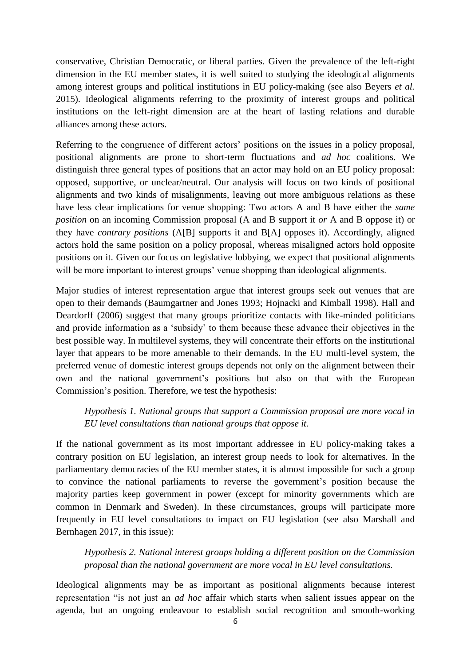conservative, Christian Democratic, or liberal parties. Given the prevalence of the left-right dimension in the EU member states, it is well suited to studying the ideological alignments among interest groups and political institutions in EU policy-making (see also Beyers *et al.* 2015). Ideological alignments referring to the proximity of interest groups and political institutions on the left-right dimension are at the heart of lasting relations and durable alliances among these actors.

Referring to the congruence of different actors' positions on the issues in a policy proposal, positional alignments are prone to short-term fluctuations and *ad hoc* coalitions. We distinguish three general types of positions that an actor may hold on an EU policy proposal: opposed, supportive, or unclear/neutral. Our analysis will focus on two kinds of positional alignments and two kinds of misalignments, leaving out more ambiguous relations as these have less clear implications for venue shopping: Two actors A and B have either the *same position* on an incoming Commission proposal (A and B support it *or* A and B oppose it) or they have *contrary positions* (A[B] supports it and B[A] opposes it). Accordingly, aligned actors hold the same position on a policy proposal, whereas misaligned actors hold opposite positions on it. Given our focus on legislative lobbying, we expect that positional alignments will be more important to interest groups' venue shopping than ideological alignments.

Major studies of interest representation argue that interest groups seek out venues that are open to their demands (Baumgartner and Jones 1993; Hojnacki and Kimball 1998). Hall and Deardorff (2006) suggest that many groups prioritize contacts with like-minded politicians and provide information as a 'subsidy' to them because these advance their objectives in the best possible way. In multilevel systems, they will concentrate their efforts on the institutional layer that appears to be more amenable to their demands. In the EU multi-level system, the preferred venue of domestic interest groups depends not only on the alignment between their own and the national government's positions but also on that with the European Commission's position. Therefore, we test the hypothesis:

# *Hypothesis 1. National groups that support a Commission proposal are more vocal in EU level consultations than national groups that oppose it.*

If the national government as its most important addressee in EU policy-making takes a contrary position on EU legislation, an interest group needs to look for alternatives. In the parliamentary democracies of the EU member states, it is almost impossible for such a group to convince the national parliaments to reverse the government's position because the majority parties keep government in power (except for minority governments which are common in Denmark and Sweden). In these circumstances, groups will participate more frequently in EU level consultations to impact on EU legislation (see also Marshall and Bernhagen 2017, in this issue):

*Hypothesis 2. National interest groups holding a different position on the Commission proposal than the national government are more vocal in EU level consultations.* 

Ideological alignments may be as important as positional alignments because interest representation "is not just an *ad hoc* affair which starts when salient issues appear on the agenda, but an ongoing endeavour to establish social recognition and smooth-working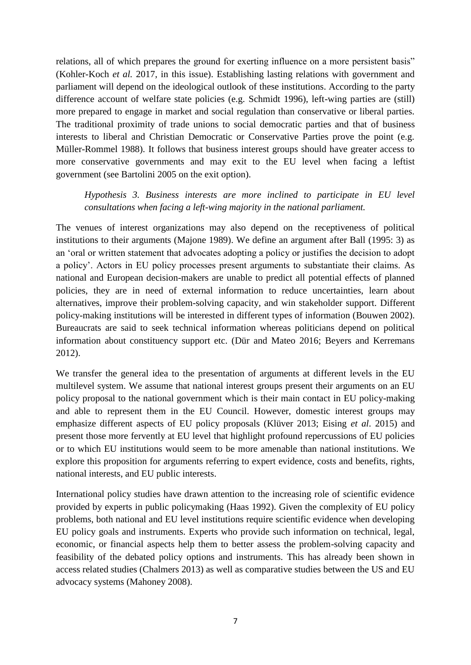relations, all of which prepares the ground for exerting influence on a more persistent basis" (Kohler-Koch *et al.* 2017, in this issue). Establishing lasting relations with government and parliament will depend on the ideological outlook of these institutions. According to the party difference account of welfare state policies (e.g. Schmidt 1996), left-wing parties are (still) more prepared to engage in market and social regulation than conservative or liberal parties. The traditional proximity of trade unions to social democratic parties and that of business interests to liberal and Christian Democratic or Conservative Parties prove the point (e.g. Müller-Rommel 1988). It follows that business interest groups should have greater access to more conservative governments and may exit to the EU level when facing a leftist government (see Bartolini 2005 on the exit option).

*Hypothesis 3. Business interests are more inclined to participate in EU level consultations when facing a left-wing majority in the national parliament.*

The venues of interest organizations may also depend on the receptiveness of political institutions to their arguments (Majone 1989). We define an argument after Ball (1995: 3) as an 'oral or written statement that advocates adopting a policy or justifies the decision to adopt a policy'. Actors in EU policy processes present arguments to substantiate their claims. As national and European decision-makers are unable to predict all potential effects of planned policies, they are in need of external information to reduce uncertainties, learn about alternatives, improve their problem-solving capacity, and win stakeholder support. Different policy-making institutions will be interested in different types of information (Bouwen 2002). Bureaucrats are said to seek technical information whereas politicians depend on political information about constituency support etc. (Dür and Mateo 2016; Beyers and Kerremans 2012).

We transfer the general idea to the presentation of arguments at different levels in the EU multilevel system. We assume that national interest groups present their arguments on an EU policy proposal to the national government which is their main contact in EU policy-making and able to represent them in the EU Council. However, domestic interest groups may emphasize different aspects of EU policy proposals (Klüver 2013; Eising *et al*. 2015) and present those more fervently at EU level that highlight profound repercussions of EU policies or to which EU institutions would seem to be more amenable than national institutions. We explore this proposition for arguments referring to expert evidence, costs and benefits, rights, national interests, and EU public interests.

International policy studies have drawn attention to the increasing role of scientific evidence provided by experts in public policymaking (Haas 1992). Given the complexity of EU policy problems, both national and EU level institutions require scientific evidence when developing EU policy goals and instruments. Experts who provide such information on technical, legal, economic, or financial aspects help them to better assess the problem-solving capacity and feasibility of the debated policy options and instruments. This has already been shown in access related studies (Chalmers 2013) as well as comparative studies between the US and EU advocacy systems (Mahoney 2008).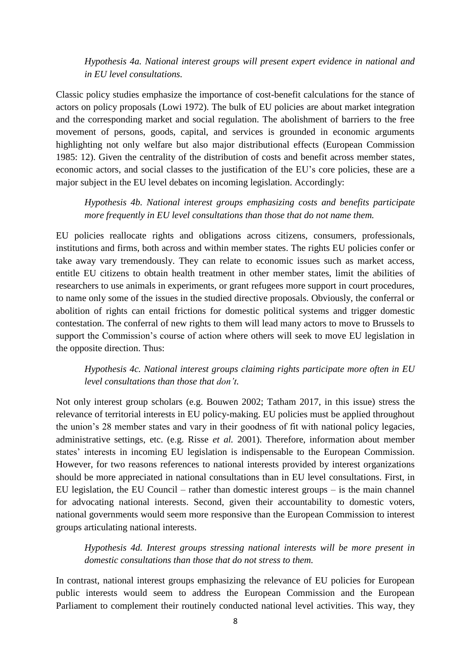*Hypothesis 4a. National interest groups will present expert evidence in national and in EU level consultations.* 

Classic policy studies emphasize the importance of cost-benefit calculations for the stance of actors on policy proposals (Lowi 1972). The bulk of EU policies are about market integration and the corresponding market and social regulation. The abolishment of barriers to the free movement of persons, goods, capital, and services is grounded in economic arguments highlighting not only welfare but also major distributional effects (European Commission 1985: 12). Given the centrality of the distribution of costs and benefit across member states, economic actors, and social classes to the justification of the EU's core policies, these are a major subject in the EU level debates on incoming legislation. Accordingly:

*Hypothesis 4b. National interest groups emphasizing costs and benefits participate more frequently in EU level consultations than those that do not name them.* 

EU policies reallocate rights and obligations across citizens, consumers, professionals, institutions and firms, both across and within member states. The rights EU policies confer or take away vary tremendously. They can relate to economic issues such as market access, entitle EU citizens to obtain health treatment in other member states, limit the abilities of researchers to use animals in experiments, or grant refugees more support in court procedures, to name only some of the issues in the studied directive proposals. Obviously, the conferral or abolition of rights can entail frictions for domestic political systems and trigger domestic contestation. The conferral of new rights to them will lead many actors to move to Brussels to support the Commission's course of action where others will seek to move EU legislation in the opposite direction. Thus:

*Hypothesis 4c. National interest groups claiming rights participate more often in EU level consultations than those that don't.*

Not only interest group scholars (e.g. Bouwen 2002; Tatham 2017, in this issue) stress the relevance of territorial interests in EU policy-making. EU policies must be applied throughout the union's 28 member states and vary in their goodness of fit with national policy legacies, administrative settings, etc. (e.g. Risse *et al.* 2001). Therefore, information about member states' interests in incoming EU legislation is indispensable to the European Commission. However, for two reasons references to national interests provided by interest organizations should be more appreciated in national consultations than in EU level consultations. First, in EU legislation, the EU Council – rather than domestic interest groups – is the main channel for advocating national interests. Second, given their accountability to domestic voters, national governments would seem more responsive than the European Commission to interest groups articulating national interests.

*Hypothesis 4d. Interest groups stressing national interests will be more present in domestic consultations than those that do not stress to them.* 

In contrast, national interest groups emphasizing the relevance of EU policies for European public interests would seem to address the European Commission and the European Parliament to complement their routinely conducted national level activities. This way, they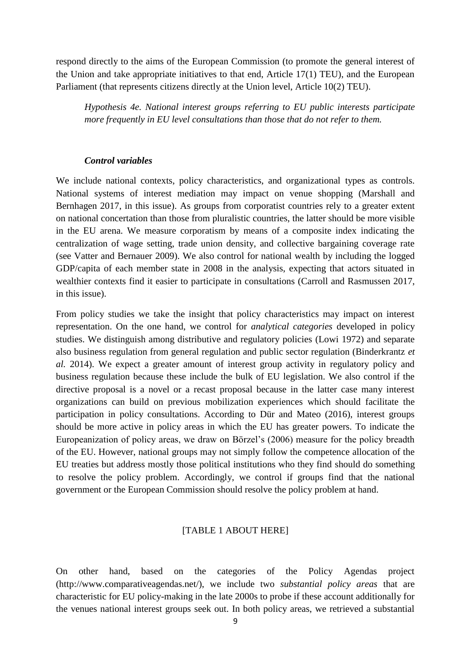respond directly to the aims of the European Commission (to promote the general interest of the Union and take appropriate initiatives to that end, Article 17(1) TEU), and the European Parliament (that represents citizens directly at the Union level, Article 10(2) TEU).

*Hypothesis 4e. National interest groups referring to EU public interests participate more frequently in EU level consultations than those that do not refer to them.* 

#### *Control variables*

We include national contexts, policy characteristics, and organizational types as controls. National systems of interest mediation may impact on venue shopping (Marshall and Bernhagen 2017, in this issue). As groups from corporatist countries rely to a greater extent on national concertation than those from pluralistic countries, the latter should be more visible in the EU arena. We measure corporatism by means of a composite index indicating the centralization of wage setting, trade union density, and collective bargaining coverage rate (see Vatter and Bernauer 2009). We also control for national wealth by including the logged GDP/capita of each member state in 2008 in the analysis, expecting that actors situated in wealthier contexts find it easier to participate in consultations (Carroll and Rasmussen 2017, in this issue).

From policy studies we take the insight that policy characteristics may impact on interest representation. On the one hand, we control for *analytical categories* developed in policy studies. We distinguish among distributive and regulatory policies (Lowi 1972) and separate also business regulation from general regulation and public sector regulation (Binderkrantz *et al.* 2014). We expect a greater amount of interest group activity in regulatory policy and business regulation because these include the bulk of EU legislation. We also control if the directive proposal is a novel or a recast proposal because in the latter case many interest organizations can build on previous mobilization experiences which should facilitate the participation in policy consultations. According to Dür and Mateo (2016), interest groups should be more active in policy areas in which the EU has greater powers. To indicate the Europeanization of policy areas, we draw on Börzel's (2006) measure for the policy breadth of the EU. However, national groups may not simply follow the competence allocation of the EU treaties but address mostly those political institutions who they find should do something to resolve the policy problem. Accordingly, we control if groups find that the national government or the European Commission should resolve the policy problem at hand.

#### [TABLE 1 ABOUT HERE]

On other hand, based on the categories of the Policy Agendas project [\(http://www.comparativeagendas.net/\)](http://www.comparativeagendas.net/), we include two *substantial policy areas* that are characteristic for EU policy-making in the late 2000s to probe if these account additionally for the venues national interest groups seek out. In both policy areas, we retrieved a substantial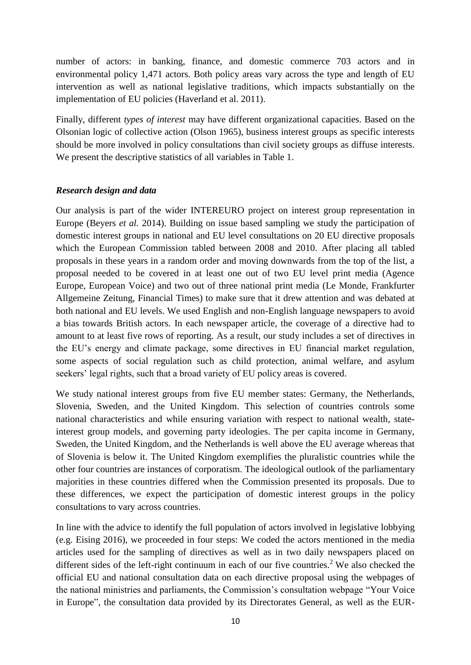number of actors: in banking, finance, and domestic commerce 703 actors and in environmental policy 1,471 actors. Both policy areas vary across the type and length of EU intervention as well as national legislative traditions, which impacts substantially on the implementation of EU policies (Haverland et al. 2011).

Finally, different *types of interest* may have different organizational capacities. Based on the Olsonian logic of collective action (Olson 1965), business interest groups as specific interests should be more involved in policy consultations than civil society groups as diffuse interests. We present the descriptive statistics of all variables in Table 1.

# *Research design and data*

Our analysis is part of the wider INTEREURO project on interest group representation in Europe (Beyers *et al.* 2014). Building on issue based sampling we study the participation of domestic interest groups in national and EU level consultations on 20 EU directive proposals which the European Commission tabled between 2008 and 2010. After placing all tabled proposals in these years in a random order and moving downwards from the top of the list, a proposal needed to be covered in at least one out of two EU level print media (Agence Europe, European Voice) and two out of three national print media (Le Monde, Frankfurter Allgemeine Zeitung, Financial Times) to make sure that it drew attention and was debated at both national and EU levels. We used English and non-English language newspapers to avoid a bias towards British actors. In each newspaper article, the coverage of a directive had to amount to at least five rows of reporting. As a result, our study includes a set of directives in the EU's energy and climate package, some directives in EU financial market regulation, some aspects of social regulation such as child protection, animal welfare, and asylum seekers' legal rights, such that a broad variety of EU policy areas is covered.

We study national interest groups from five EU member states: Germany, the Netherlands, Slovenia, Sweden, and the United Kingdom. This selection of countries controls some national characteristics and while ensuring variation with respect to national wealth, stateinterest group models, and governing party ideologies. The per capita income in Germany, Sweden, the United Kingdom, and the Netherlands is well above the EU average whereas that of Slovenia is below it. The United Kingdom exemplifies the pluralistic countries while the other four countries are instances of corporatism. The ideological outlook of the parliamentary majorities in these countries differed when the Commission presented its proposals. Due to these differences, we expect the participation of domestic interest groups in the policy consultations to vary across countries.

In line with the advice to identify the full population of actors involved in legislative lobbying (e.g. Eising 2016), we proceeded in four steps: We coded the actors mentioned in the media articles used for the sampling of directives as well as in two daily newspapers placed on different sides of the left-right continuum in each of our five countries.<sup>2</sup> We also checked the official EU and national consultation data on each directive proposal using the webpages of the national ministries and parliaments, the Commission's consultation webpage "Your Voice in Europe", the consultation data provided by its Directorates General, as well as the EUR-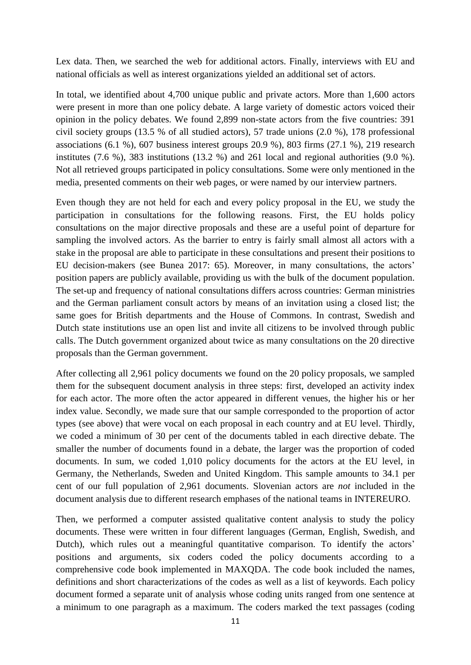Lex data. Then, we searched the web for additional actors. Finally, interviews with EU and national officials as well as interest organizations yielded an additional set of actors.

In total, we identified about 4,700 unique public and private actors. More than 1,600 actors were present in more than one policy debate. A large variety of domestic actors voiced their opinion in the policy debates. We found 2,899 non-state actors from the five countries: 391 civil society groups (13.5 % of all studied actors), 57 trade unions (2.0 %), 178 professional associations (6.1 %), 607 business interest groups 20.9 %), 803 firms (27.1 %), 219 research institutes (7.6 %), 383 institutions (13.2 %) and 261 local and regional authorities (9.0 %). Not all retrieved groups participated in policy consultations. Some were only mentioned in the media, presented comments on their web pages, or were named by our interview partners.

Even though they are not held for each and every policy proposal in the EU, we study the participation in consultations for the following reasons. First, the EU holds policy consultations on the major directive proposals and these are a useful point of departure for sampling the involved actors. As the barrier to entry is fairly small almost all actors with a stake in the proposal are able to participate in these consultations and present their positions to EU decision-makers (see Bunea 2017: 65). Moreover, in many consultations, the actors' position papers are publicly available, providing us with the bulk of the document population. The set-up and frequency of national consultations differs across countries: German ministries and the German parliament consult actors by means of an invitation using a closed list; the same goes for British departments and the House of Commons. In contrast, Swedish and Dutch state institutions use an open list and invite all citizens to be involved through public calls. The Dutch government organized about twice as many consultations on the 20 directive proposals than the German government.

After collecting all 2,961 policy documents we found on the 20 policy proposals, we sampled them for the subsequent document analysis in three steps: first, developed an activity index for each actor. The more often the actor appeared in different venues, the higher his or her index value. Secondly, we made sure that our sample corresponded to the proportion of actor types (see above) that were vocal on each proposal in each country and at EU level. Thirdly, we coded a minimum of 30 per cent of the documents tabled in each directive debate. The smaller the number of documents found in a debate, the larger was the proportion of coded documents. In sum, we coded 1,010 policy documents for the actors at the EU level, in Germany, the Netherlands, Sweden and United Kingdom. This sample amounts to 34.1 per cent of our full population of 2,961 documents. Slovenian actors are *not* included in the document analysis due to different research emphases of the national teams in INTEREURO.

Then, we performed a computer assisted qualitative content analysis to study the policy documents. These were written in four different languages (German, English, Swedish, and Dutch), which rules out a meaningful quantitative comparison. To identify the actors' positions and arguments, six coders coded the policy documents according to a comprehensive code book implemented in MAXQDA. The code book included the names, definitions and short characterizations of the codes as well as a list of keywords. Each policy document formed a separate unit of analysis whose coding units ranged from one sentence at a minimum to one paragraph as a maximum. The coders marked the text passages (coding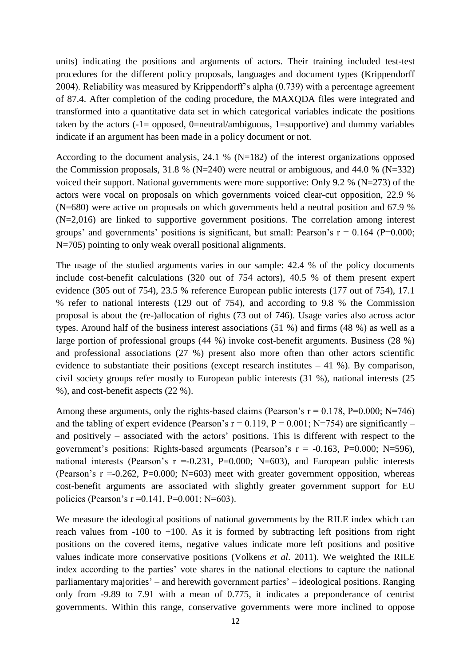units) indicating the positions and arguments of actors. Their training included test-test procedures for the different policy proposals, languages and document types (Krippendorff 2004). Reliability was measured by Krippendorff's alpha (0.739) with a percentage agreement of 87.4. After completion of the coding procedure, the MAXQDA files were integrated and transformed into a quantitative data set in which categorical variables indicate the positions taken by the actors  $(-1)$  = opposed, 0=neutral/ambiguous, 1=supportive) and dummy variables indicate if an argument has been made in a policy document or not.

According to the document analysis, 24.1 % (N=182) of the interest organizations opposed the Commission proposals, 31.8 % ( $N=240$ ) were neutral or ambiguous, and 44.0 % ( $N=332$ ) voiced their support. National governments were more supportive: Only 9.2 % (N=273) of the actors were vocal on proposals on which governments voiced clear-cut opposition, 22.9 % (N=680) were active on proposals on which governments held a neutral position and 67.9 % (N=2,016) are linked to supportive government positions. The correlation among interest groups' and governments' positions is significant, but small: Pearson's  $r = 0.164$  (P=0.000; N=705) pointing to only weak overall positional alignments.

The usage of the studied arguments varies in our sample: 42.4 % of the policy documents include cost-benefit calculations (320 out of 754 actors), 40.5 % of them present expert evidence (305 out of 754), 23.5 % reference European public interests (177 out of 754), 17.1 % refer to national interests (129 out of 754), and according to 9.8 % the Commission proposal is about the (re-)allocation of rights (73 out of 746). Usage varies also across actor types. Around half of the business interest associations (51 %) and firms (48 %) as well as a large portion of professional groups (44 %) invoke cost-benefit arguments. Business (28 %) and professional associations (27 %) present also more often than other actors scientific evidence to substantiate their positions (except research institutes  $-41\%$ ). By comparison, civil society groups refer mostly to European public interests (31 %), national interests (25 %), and cost-benefit aspects (22 %).

Among these arguments, only the rights-based claims (Pearson's  $r = 0.178$ , P=0.000; N=746) and the tabling of expert evidence (Pearson's  $r = 0.119$ ,  $P = 0.001$ ; N=754) are significantly – and positively – associated with the actors' positions. This is different with respect to the government's positions: Rights-based arguments (Pearson's  $r = -0.163$ , P=0.000; N=596), national interests (Pearson's  $r = -0.231$ , P=0.000; N=603), and European public interests (Pearson's  $r = 0.262$ , P=0.000; N=603) meet with greater government opposition, whereas cost-benefit arguments are associated with slightly greater government support for EU policies (Pearson's r =0.141, P=0.001; N=603).

We measure the ideological positions of national governments by the RILE index which can reach values from  $-100$  to  $+100$ . As it is formed by subtracting left positions from right positions on the covered items, negative values indicate more left positions and positive values indicate more conservative positions (Volkens *et al*. 2011). We weighted the RILE index according to the parties' vote shares in the national elections to capture the national parliamentary majorities' – and herewith government parties' – ideological positions. Ranging only from -9.89 to 7.91 with a mean of 0.775, it indicates a preponderance of centrist governments. Within this range, conservative governments were more inclined to oppose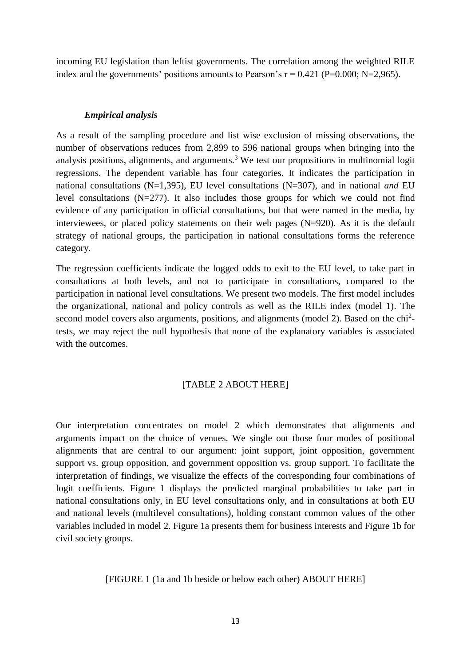incoming EU legislation than leftist governments. The correlation among the weighted RILE index and the governments' positions amounts to Pearson's  $r = 0.421$  (P=0.000; N=2.965).

# *Empirical analysis*

As a result of the sampling procedure and list wise exclusion of missing observations, the number of observations reduces from 2,899 to 596 national groups when bringing into the analysis positions, alignments, and arguments.<sup>3</sup> We test our propositions in multinomial logit regressions. The dependent variable has four categories. It indicates the participation in national consultations (N=1,395), EU level consultations (N=307), and in national *and* EU level consultations  $(N=277)$ . It also includes those groups for which we could not find evidence of any participation in official consultations, but that were named in the media, by interviewees, or placed policy statements on their web pages (N=920). As it is the default strategy of national groups, the participation in national consultations forms the reference category.

The regression coefficients indicate the logged odds to exit to the EU level, to take part in consultations at both levels, and not to participate in consultations, compared to the participation in national level consultations. We present two models. The first model includes the organizational, national and policy controls as well as the RILE index (model 1). The second model covers also arguments, positions, and alignments (model 2). Based on the chi<sup>2</sup>tests, we may reject the null hypothesis that none of the explanatory variables is associated with the outcomes.

# [TABLE 2 ABOUT HERE]

Our interpretation concentrates on model 2 which demonstrates that alignments and arguments impact on the choice of venues. We single out those four modes of positional alignments that are central to our argument: joint support, joint opposition, government support vs. group opposition, and government opposition vs. group support. To facilitate the interpretation of findings, we visualize the effects of the corresponding four combinations of logit coefficients. Figure 1 displays the predicted marginal probabilities to take part in national consultations only, in EU level consultations only, and in consultations at both EU and national levels (multilevel consultations), holding constant common values of the other variables included in model 2. Figure 1a presents them for business interests and Figure 1b for civil society groups.

[FIGURE 1 (1a and 1b beside or below each other) ABOUT HERE]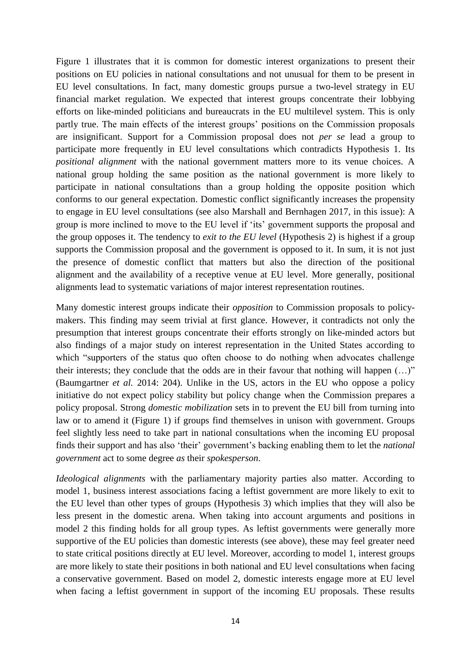Figure 1 illustrates that it is common for domestic interest organizations to present their positions on EU policies in national consultations and not unusual for them to be present in EU level consultations. In fact, many domestic groups pursue a two-level strategy in EU financial market regulation. We expected that interest groups concentrate their lobbying efforts on like-minded politicians and bureaucrats in the EU multilevel system. This is only partly true. The main effects of the interest groups' positions on the Commission proposals are insignificant. Support for a Commission proposal does not *per se* lead a group to participate more frequently in EU level consultations which contradicts Hypothesis 1. Its *positional alignment* with the national government matters more to its venue choices. A national group holding the same position as the national government is more likely to participate in national consultations than a group holding the opposite position which conforms to our general expectation. Domestic conflict significantly increases the propensity to engage in EU level consultations (see also Marshall and Bernhagen 2017, in this issue): A group is more inclined to move to the EU level if 'its' government supports the proposal and the group opposes it. The tendency to *exit to the EU level* (Hypothesis 2) is highest if a group supports the Commission proposal and the government is opposed to it. In sum, it is not just the presence of domestic conflict that matters but also the direction of the positional alignment and the availability of a receptive venue at EU level. More generally, positional alignments lead to systematic variations of major interest representation routines.

Many domestic interest groups indicate their *opposition* to Commission proposals to policymakers. This finding may seem trivial at first glance. However, it contradicts not only the presumption that interest groups concentrate their efforts strongly on like-minded actors but also findings of a major study on interest representation in the United States according to which "supporters of the status quo often choose to do nothing when advocates challenge their interests; they conclude that the odds are in their favour that nothing will happen (…)" (Baumgartner *et al.* 2014: 204). Unlike in the US, actors in the EU who oppose a policy initiative do not expect policy stability but policy change when the Commission prepares a policy proposal. Strong *domestic mobilization* sets in to prevent the EU bill from turning into law or to amend it (Figure 1) if groups find themselves in unison with government. Groups feel slightly less need to take part in national consultations when the incoming EU proposal finds their support and has also 'their' government's backing enabling them to let the *national government* act to some degree *as* their *spokesperson*.

*Ideological alignments* with the parliamentary majority parties also matter. According to model 1, business interest associations facing a leftist government are more likely to exit to the EU level than other types of groups (Hypothesis 3) which implies that they will also be less present in the domestic arena. When taking into account arguments and positions in model 2 this finding holds for all group types. As leftist governments were generally more supportive of the EU policies than domestic interests (see above), these may feel greater need to state critical positions directly at EU level. Moreover, according to model 1, interest groups are more likely to state their positions in both national and EU level consultations when facing a conservative government. Based on model 2, domestic interests engage more at EU level when facing a leftist government in support of the incoming EU proposals. These results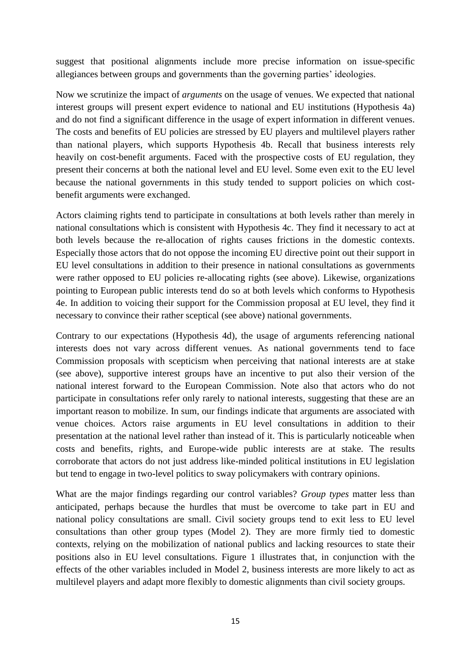suggest that positional alignments include more precise information on issue-specific allegiances between groups and governments than the governing parties' ideologies.

Now we scrutinize the impact of *arguments* on the usage of venues. We expected that national interest groups will present expert evidence to national and EU institutions (Hypothesis 4a) and do not find a significant difference in the usage of expert information in different venues. The costs and benefits of EU policies are stressed by EU players and multilevel players rather than national players, which supports Hypothesis 4b. Recall that business interests rely heavily on cost-benefit arguments. Faced with the prospective costs of EU regulation, they present their concerns at both the national level and EU level. Some even exit to the EU level because the national governments in this study tended to support policies on which costbenefit arguments were exchanged.

Actors claiming rights tend to participate in consultations at both levels rather than merely in national consultations which is consistent with Hypothesis 4c. They find it necessary to act at both levels because the re-allocation of rights causes frictions in the domestic contexts. Especially those actors that do not oppose the incoming EU directive point out their support in EU level consultations in addition to their presence in national consultations as governments were rather opposed to EU policies re-allocating rights (see above). Likewise, organizations pointing to European public interests tend do so at both levels which conforms to Hypothesis 4e. In addition to voicing their support for the Commission proposal at EU level, they find it necessary to convince their rather sceptical (see above) national governments.

Contrary to our expectations (Hypothesis 4d), the usage of arguments referencing national interests does not vary across different venues. As national governments tend to face Commission proposals with scepticism when perceiving that national interests are at stake (see above), supportive interest groups have an incentive to put also their version of the national interest forward to the European Commission. Note also that actors who do not participate in consultations refer only rarely to national interests, suggesting that these are an important reason to mobilize. In sum, our findings indicate that arguments are associated with venue choices. Actors raise arguments in EU level consultations in addition to their presentation at the national level rather than instead of it. This is particularly noticeable when costs and benefits, rights, and Europe-wide public interests are at stake. The results corroborate that actors do not just address like-minded political institutions in EU legislation but tend to engage in two-level politics to sway policymakers with contrary opinions.

What are the major findings regarding our control variables? *Group types* matter less than anticipated, perhaps because the hurdles that must be overcome to take part in EU and national policy consultations are small. Civil society groups tend to exit less to EU level consultations than other group types (Model 2). They are more firmly tied to domestic contexts, relying on the mobilization of national publics and lacking resources to state their positions also in EU level consultations. Figure 1 illustrates that, in conjunction with the effects of the other variables included in Model 2, business interests are more likely to act as multilevel players and adapt more flexibly to domestic alignments than civil society groups.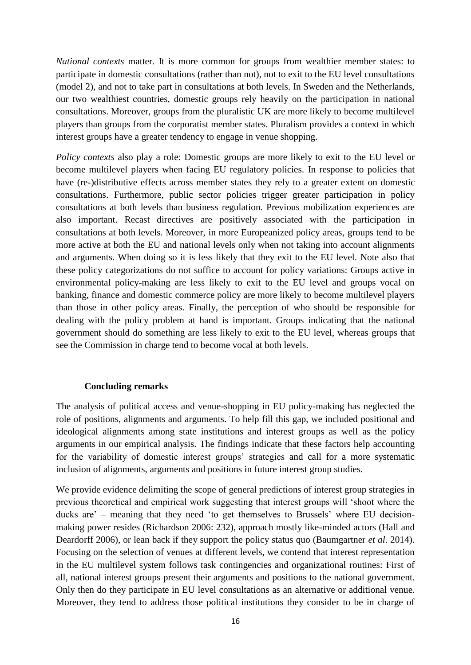*National contexts* matter. It is more common for groups from wealthier member states: to participate in domestic consultations (rather than not), not to exit to the EU level consultations (model 2), and not to take part in consultations at both levels. In Sweden and the Netherlands, our two wealthiest countries, domestic groups rely heavily on the participation in national consultations. Moreover, groups from the pluralistic UK are more likely to become multilevel players than groups from the corporatist member states. Pluralism provides a context in which interest groups have a greater tendency to engage in venue shopping.

*Policy contexts* also play a role: Domestic groups are more likely to exit to the EU level or become multilevel players when facing EU regulatory policies. In response to policies that have (re-)distributive effects across member states they rely to a greater extent on domestic consultations. Furthermore, public sector policies trigger greater participation in policy consultations at both levels than business regulation. Previous mobilization experiences are also important. Recast directives are positively associated with the participation in consultations at both levels. Moreover, in more Europeanized policy areas, groups tend to be more active at both the EU and national levels only when not taking into account alignments and arguments. When doing so it is less likely that they exit to the EU level. Note also that these policy categorizations do not suffice to account for policy variations: Groups active in environmental policy-making are less likely to exit to the EU level and groups vocal on banking, finance and domestic commerce policy are more likely to become multilevel players than those in other policy areas. Finally, the perception of who should be responsible for dealing with the policy problem at hand is important. Groups indicating that the national government should do something are less likely to exit to the EU level, whereas groups that see the Commission in charge tend to become vocal at both levels.

# **Concluding remarks**

The analysis of political access and venue-shopping in EU policy-making has neglected the role of positions, alignments and arguments. To help fill this gap, we included positional and ideological alignments among state institutions and interest groups as well as the policy arguments in our empirical analysis. The findings indicate that these factors help accounting for the variability of domestic interest groups' strategies and call for a more systematic inclusion of alignments, arguments and positions in future interest group studies.

We provide evidence delimiting the scope of general predictions of interest group strategies in previous theoretical and empirical work suggesting that interest groups will 'shoot where the ducks are' – meaning that they need 'to get themselves to Brussels' where EU decisionmaking power resides (Richardson 2006: 232), approach mostly like-minded actors (Hall and Deardorff 2006), or lean back if they support the policy status quo (Baumgartner *et al*. 2014). Focusing on the selection of venues at different levels, we contend that interest representation in the EU multilevel system follows task contingencies and organizational routines: First of all, national interest groups present their arguments and positions to the national government. Only then do they participate in EU level consultations as an alternative or additional venue. Moreover, they tend to address those political institutions they consider to be in charge of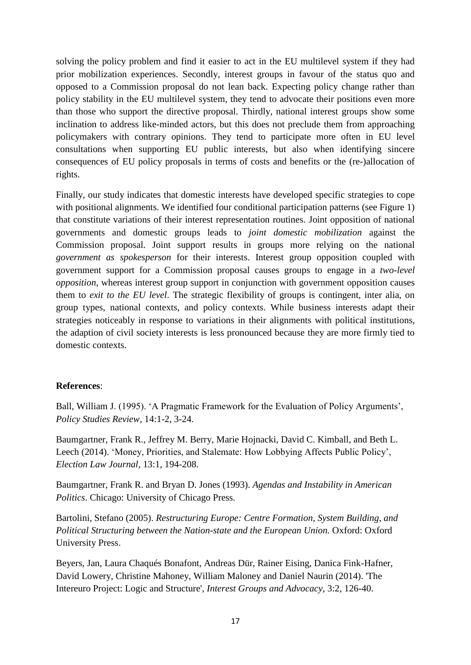solving the policy problem and find it easier to act in the EU multilevel system if they had prior mobilization experiences. Secondly, interest groups in favour of the status quo and opposed to a Commission proposal do not lean back. Expecting policy change rather than policy stability in the EU multilevel system, they tend to advocate their positions even more than those who support the directive proposal. Thirdly, national interest groups show some inclination to address like-minded actors, but this does not preclude them from approaching policymakers with contrary opinions. They tend to participate more often in EU level consultations when supporting EU public interests, but also when identifying sincere consequences of EU policy proposals in terms of costs and benefits or the (re-)allocation of rights.

Finally, our study indicates that domestic interests have developed specific strategies to cope with positional alignments. We identified four conditional participation patterns (see Figure 1) that constitute variations of their interest representation routines. Joint opposition of national governments and domestic groups leads to *joint domestic mobilization* against the Commission proposal. Joint support results in groups more relying on the national *government as spokesperson* for their interests. Interest group opposition coupled with government support for a Commission proposal causes groups to engage in a *two-level opposition*, whereas interest group support in conjunction with government opposition causes them to *exit to the EU level*. The strategic flexibility of groups is contingent, inter alia, on group types, national contexts, and policy contexts. While business interests adapt their strategies noticeably in response to variations in their alignments with political institutions, the adaption of civil society interests is less pronounced because they are more firmly tied to domestic contexts.

# **References**:

Ball, William J. (1995). 'A Pragmatic Framework for the Evaluation of Policy Arguments', *Policy Studies Review,* 14:1-2, 3-24.

Baumgartner, Frank R., Jeffrey M. Berry, Marie Hojnacki, David C. Kimball, and Beth L. Leech (2014). 'Money, Priorities, and Stalemate: How Lobbying Affects Public Policy', *Election Law Journal,* 13:1, 194-208.

Baumgartner, Frank R. and Bryan D. Jones (1993). *Agendas and Instability in American Politics*. Chicago: University of Chicago Press.

Bartolini, Stefano (2005). *Restructuring Europe: Centre Formation, System Building, and Political Structuring between the Nation-state and the European Union.* Oxford: Oxford University Press.

Beyers, Jan, Laura Chaqués Bonafont, Andreas Dür, Rainer Eising, Danica Fink-Hafner, David Lowery, Christine Mahoney, William Maloney and Daniel Naurin (2014). 'The Intereuro Project: Logic and Structure', *Interest Groups and Advocacy*, 3:2, 126-40.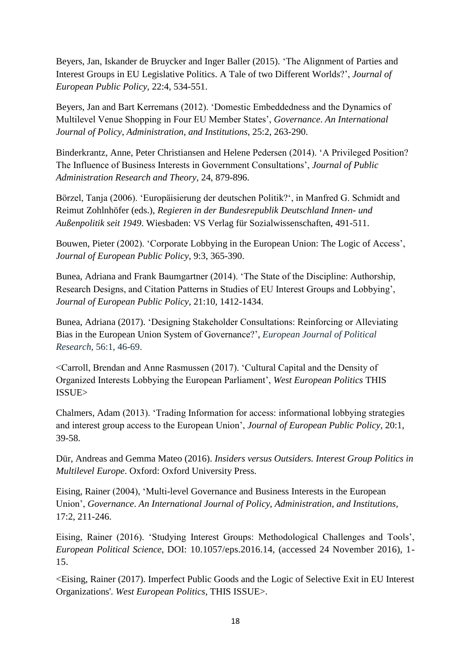Beyers, Jan, Iskander de Bruycker and Inger Baller (2015). 'The Alignment of Parties and Interest Groups in EU Legislative Politics. A Tale of two Different Worlds?', *Journal of European Public Policy,* 22:4, 534-551.

Beyers, Jan and Bart Kerremans (2012). 'Domestic Embeddedness and the Dynamics of Multilevel Venue Shopping in Four EU Member States', *Governance*. *An International Journal of Policy, Administration, and Institutions*, 25:2, 263-290.

Binderkrantz, Anne, Peter Christiansen and Helene Pedersen (2014). 'A Privileged Position? The Influence of Business Interests in Government Consultations', *Journal of Public Administration Research and Theory*, 24, 879-896.

Börzel, Tanja (2006). 'Europäisierung der deutschen Politik?', in Manfred G. Schmidt and Reimut Zohlnhöfer (eds.), *Regieren in der Bundesrepublik Deutschland Innen- und Außenpolitik seit 1949*. Wiesbaden: VS Verlag für Sozialwissenschaften, 491-511.

Bouwen, Pieter (2002). 'Corporate Lobbying in the European Union: The Logic of Access', *Journal of European Public Policy*, 9:3, 365-390.

Bunea, Adriana and Frank Baumgartner (2014). 'The State of the Discipline: Authorship, Research Designs, and Citation Patterns in Studies of EU Interest Groups and Lobbying', *Journal of European Public Policy*, 21:10, 1412-1434.

Bunea, Adriana (2017). 'Designing Stakeholder Consultations: Reinforcing or Alleviating Bias in the European Union System of Governance?', *European Journal of Political Research*, 56:1, 46-69.

<Carroll, Brendan and Anne Rasmussen (2017). 'Cultural Capital and the Density of Organized Interests Lobbying the European Parliament', *West European Politics* THIS ISSUE>

Chalmers, Adam (2013). 'Trading Information for access: informational lobbying strategies and interest group access to the European Union', *Journal of European Public Policy,* 20:1, 39-58.

Dür, Andreas and Gemma Mateo (2016). *Insiders versus Outsiders. Interest Group Politics in Multilevel Europe*. Oxford: Oxford University Press.

Eising, Rainer (2004), 'Multi-level Governance and Business Interests in the European Union', *Governance*. *An International Journal of Policy, Administration, and Institutions,* 17:2, 211-246.

Eising, Rainer (2016). 'Studying Interest Groups: Methodological Challenges and Tools', *European Political Science*, DOI: 10.1057/eps.2016.14, (accessed 24 November 2016), 1- 15.

<Eising, Rainer (2017). Imperfect Public Goods and the Logic of Selective Exit in EU Interest Organizations'. *West European Politics*, THIS ISSUE>.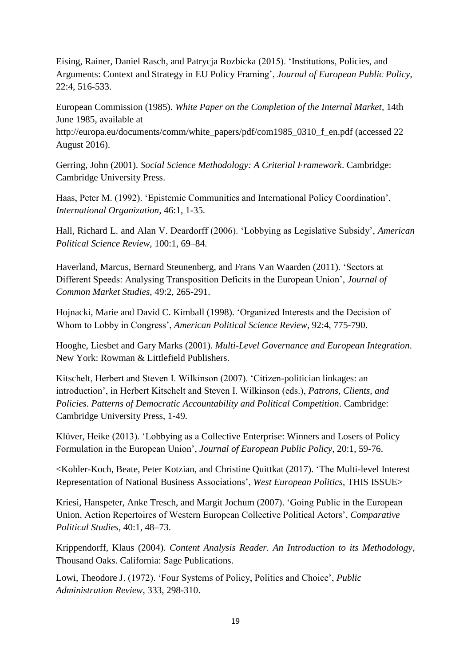Eising, Rainer, Daniel Rasch, and Patrycja Rozbicka (2015). 'Institutions, Policies, and Arguments: Context and Strategy in EU Policy Framing', *Journal of European Public Policy*, 22:4, 516-533.

European Commission (1985). *White Paper on the Completion of the Internal Market*, 14th June 1985, available at

[http://europa.eu/documents/comm/white\\_papers/pdf/com1985\\_0310\\_f\\_en.pdf](http://europa.eu/documents/comm/white_papers/pdf/com1985_0310_f_en.pdf) (accessed 22 August 2016).

Gerring, John (2001). *Social Science Methodology: A Criterial Framework*. Cambridge: Cambridge University Press.

Haas, Peter M. (1992). 'Epistemic Communities and International Policy Coordination', *International Organization,* 46:1, 1-35.

Hall, Richard L. and Alan V. Deardorff (2006). 'Lobbying as Legislative Subsidy', *American Political Science Review*, 100:1, 69–84.

Haverland, Marcus, Bernard Steunenberg, and Frans Van Waarden (2011). 'Sectors at Different Speeds: Analysing Transposition Deficits in the European Union', *Journal of Common Market Studies*, 49:2, 265-291.

Hojnacki, Marie and David C. Kimball (1998). 'Organized Interests and the Decision of Whom to Lobby in Congress', *American Political Science Review*, 92:4, 775-790.

Hooghe, Liesbet and Gary Marks (2001). *Multi-Level Governance and European Integration*. New York: Rowman & Littlefield Publishers.

Kitschelt, Herbert and Steven I. Wilkinson (2007). 'Citizen-politician linkages: an introduction', in Herbert Kitschelt and Steven I. Wilkinson (eds.), *Patrons, Clients, and Policies. Patterns of Democratic Accountability and Political Competition*. Cambridge: Cambridge University Press, 1-49.

Klüver, Heike (2013). 'Lobbying as a Collective Enterprise: Winners and Losers of Policy Formulation in the European Union', *Journal of European Public Policy*, 20:1, 59-76.

<Kohler-Koch, Beate, Peter Kotzian, and Christine Quittkat (2017). 'The Multi-level Interest Representation of National Business Associations', *West European Politics*, THIS ISSUE>

Kriesi, Hanspeter, Anke Tresch, and Margit Jochum (2007). 'Going Public in the European Union. Action Repertoires of Western European Collective Political Actors', *Comparative Political Studies,* 40:1, 48–73.

Krippendorff, Klaus (2004). *Content Analysis Reader. An Introduction to its Methodology*, Thousand Oaks. California: Sage Publications.

Lowi, Theodore J. (1972). 'Four Systems of Policy, Politics and Choice', *Public Administration Review*, 333, 298-310.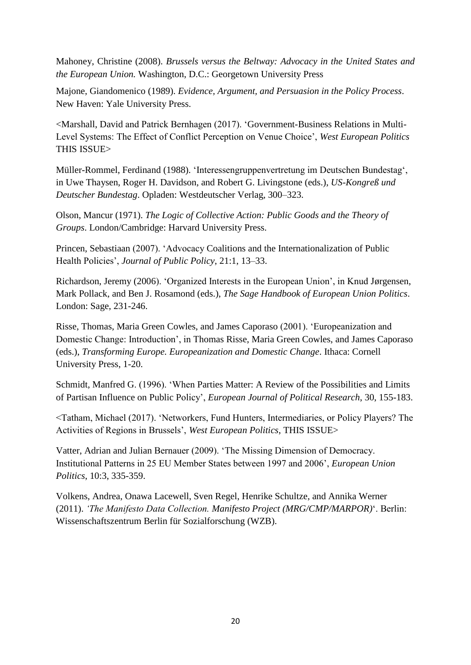Mahoney, Christine (2008). *Brussels versus the Beltway: Advocacy in the United States and the European Union.* Washington, D.C.: Georgetown University Press

Majone, Giandomenico (1989). *Evidence, Argument, and Persuasion in the Policy Process*. New Haven: Yale University Press.

<Marshall, David and Patrick Bernhagen (2017). 'Government-Business Relations in Multi-Level Systems: The Effect of Conflict Perception on Venue Choice', *West European Politics* THIS ISSUE>

Müller-Rommel, Ferdinand (1988). 'Interessengruppenvertretung im Deutschen Bundestag', in Uwe Thaysen, Roger H. Davidson, and Robert G. Livingstone (eds.), *US-Kongreß und Deutscher Bundestag*. Opladen: Westdeutscher Verlag, 300–323.

Olson, Mancur (1971). *The Logic of Collective Action: Public Goods and the Theory of Groups*. London/Cambridge: Harvard University Press.

Princen, Sebastiaan (2007). 'Advocacy Coalitions and the Internationalization of Public Health Policies', *Journal of Public Policy*, 21:1, 13–33.

Richardson, Jeremy (2006). 'Organized Interests in the European Union', in Knud Jørgensen, Mark Pollack, and Ben J. Rosamond (eds.), *The Sage Handbook of European Union Politics*. London: Sage, 231-246.

Risse, Thomas, Maria Green Cowles, and James Caporaso (2001). 'Europeanization and Domestic Change: Introduction', in Thomas Risse, Maria Green Cowles, and James Caporaso (eds.), *Transforming Europe. Europeanization and Domestic Change*. Ithaca: Cornell University Press, 1-20.

Schmidt, Manfred G. (1996). 'When Parties Matter: A Review of the Possibilities and Limits of Partisan Influence on Public Policy', *European Journal of Political Research*, 30, 155-183.

<Tatham, Michael (2017). 'Networkers, Fund Hunters, Intermediaries, or Policy Players? The Activities of Regions in Brussels', *West European Politics*, THIS ISSUE>

Vatter, Adrian and Julian Bernauer (2009). 'The Missing Dimension of Democracy. Institutional Patterns in 25 EU Member States between 1997 and 2006', *European Union Politics*, 10:3, 335-359.

Volkens, Andrea, Onawa Lacewell, Sven Regel, Henrike Schultze, and Annika Werner (2011). *'The Manifesto Data Collection. Manifesto Project (MRG/CMP/MARPOR)*'. Berlin: Wissenschaftszentrum Berlin für Sozialforschung (WZB).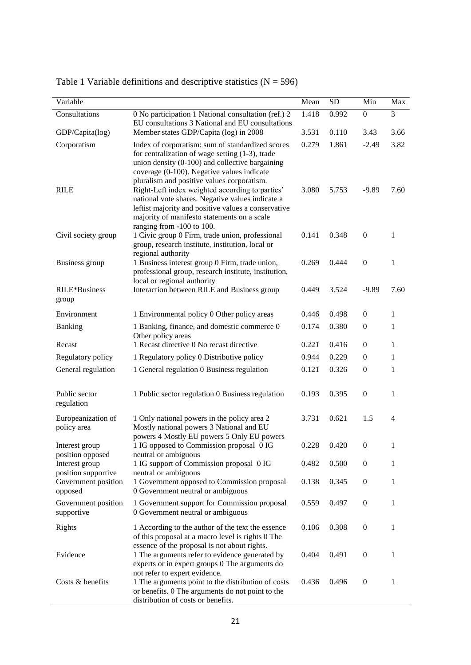| Variable                                              |                                                                                                                                                                                                                                                                                                                                                                                                                  | Mean  | <b>SD</b> | Min              | Max            |
|-------------------------------------------------------|------------------------------------------------------------------------------------------------------------------------------------------------------------------------------------------------------------------------------------------------------------------------------------------------------------------------------------------------------------------------------------------------------------------|-------|-----------|------------------|----------------|
| Consultations                                         | 0 No participation 1 National consultation (ref.) 2                                                                                                                                                                                                                                                                                                                                                              |       | 0.992     | $\overline{0}$   | 3              |
| GDP/Capita(log)                                       | EU consultations 3 National and EU consultations<br>Member states GDP/Capita (log) in 2008                                                                                                                                                                                                                                                                                                                       | 3.531 | 0.110     | 3.43             | 3.66           |
| Corporatism                                           | Index of corporatism: sum of standardized scores                                                                                                                                                                                                                                                                                                                                                                 | 0.279 | 1.861     | $-2.49$          | 3.82           |
| <b>RILE</b>                                           | for centralization of wage setting $(1-3)$ , trade<br>union density $(0-100)$ and collective bargaining<br>coverage (0-100). Negative values indicate<br>pluralism and positive values corporatism.<br>Right-Left index weighted according to parties'<br>national vote shares. Negative values indicate a<br>leftist majority and positive values a conservative<br>majority of manifesto statements on a scale | 3.080 | 5.753     | $-9.89$          | 7.60           |
| Civil society group                                   | ranging from -100 to 100.<br>1 Civic group 0 Firm, trade union, professional<br>group, research institute, institution, local or<br>regional authority                                                                                                                                                                                                                                                           | 0.141 | 0.348     | $\boldsymbol{0}$ | 1              |
| Business group                                        | 1 Business interest group 0 Firm, trade union,<br>professional group, research institute, institution,<br>local or regional authority                                                                                                                                                                                                                                                                            | 0.269 | 0.444     | $\boldsymbol{0}$ | 1              |
| RILE*Business<br>group                                | Interaction between RILE and Business group                                                                                                                                                                                                                                                                                                                                                                      | 0.449 | 3.524     | $-9.89$          | 7.60           |
| Environment                                           | 1 Environmental policy 0 Other policy areas                                                                                                                                                                                                                                                                                                                                                                      | 0.446 | 0.498     | $\boldsymbol{0}$ | 1              |
| <b>Banking</b>                                        | 1 Banking, finance, and domestic commerce 0<br>Other policy areas                                                                                                                                                                                                                                                                                                                                                | 0.174 | 0.380     | $\mathbf{0}$     | 1              |
| Recast                                                | 1 Recast directive 0 No recast directive                                                                                                                                                                                                                                                                                                                                                                         | 0.221 | 0.416     | $\boldsymbol{0}$ | 1              |
| Regulatory policy                                     | 1 Regulatory policy 0 Distributive policy                                                                                                                                                                                                                                                                                                                                                                        | 0.944 | 0.229     | $\mathbf{0}$     | 1              |
| General regulation                                    | 1 General regulation 0 Business regulation                                                                                                                                                                                                                                                                                                                                                                       | 0.121 | 0.326     | $\boldsymbol{0}$ | 1              |
| Public sector<br>regulation                           | 1 Public sector regulation 0 Business regulation                                                                                                                                                                                                                                                                                                                                                                 | 0.193 | 0.395     | $\boldsymbol{0}$ | 1              |
| Europeanization of<br>policy area                     | 1 Only national powers in the policy area 2<br>Mostly national powers 3 National and EU                                                                                                                                                                                                                                                                                                                          | 3.731 | 0.621     | 1.5              | $\overline{4}$ |
| Interest group<br>position opposed                    | powers 4 Mostly EU powers 5 Only EU powers<br>1 IG opposed to Commission proposal 0 IG<br>neutral or ambiguous                                                                                                                                                                                                                                                                                                   | 0.228 | 0.420     | $\overline{0}$   | 1              |
| Interest group                                        | 1 IG support of Commission proposal 0 IG                                                                                                                                                                                                                                                                                                                                                                         | 0.482 | 0.500     | $\boldsymbol{0}$ | 1              |
| position supportive<br>Government position<br>opposed | neutral or ambiguous<br>1 Government opposed to Commission proposal<br>0 Government neutral or ambiguous                                                                                                                                                                                                                                                                                                         | 0.138 | 0.345     | $\mathbf{0}$     | 1              |
| Government position<br>supportive                     | 1 Government support for Commission proposal<br>0 Government neutral or ambiguous                                                                                                                                                                                                                                                                                                                                | 0.559 | 0.497     | $\boldsymbol{0}$ | 1              |
| Rights                                                | 1 According to the author of the text the essence<br>of this proposal at a macro level is rights 0 The                                                                                                                                                                                                                                                                                                           | 0.106 | 0.308     | $\boldsymbol{0}$ | 1              |
| Evidence                                              | essence of the proposal is not about rights.<br>1 The arguments refer to evidence generated by<br>experts or in expert groups 0 The arguments do                                                                                                                                                                                                                                                                 | 0.404 | 0.491     | $\boldsymbol{0}$ | 1              |
| Costs & benefits                                      | not refer to expert evidence.<br>1 The arguments point to the distribution of costs<br>or benefits. 0 The arguments do not point to the<br>distribution of costs or benefits.                                                                                                                                                                                                                                    | 0.436 | 0.496     | $\boldsymbol{0}$ | 1              |

Table 1 Variable definitions and descriptive statistics  $(N = 596)$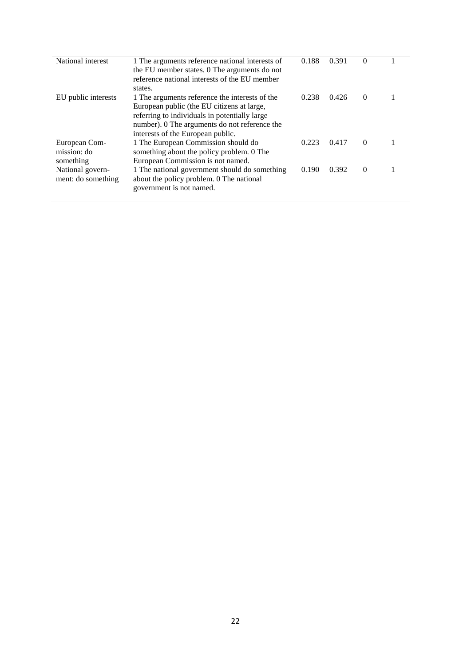| 1 The arguments reference national interests of | 0.188                                                                                                                                                                                                                                                                                                                                                                                                                                                                                                                                 | 0.391 | $\Omega$ |          |
|-------------------------------------------------|---------------------------------------------------------------------------------------------------------------------------------------------------------------------------------------------------------------------------------------------------------------------------------------------------------------------------------------------------------------------------------------------------------------------------------------------------------------------------------------------------------------------------------------|-------|----------|----------|
|                                                 |                                                                                                                                                                                                                                                                                                                                                                                                                                                                                                                                       |       |          |          |
| reference national interests of the EU member   |                                                                                                                                                                                                                                                                                                                                                                                                                                                                                                                                       |       |          |          |
| states.                                         |                                                                                                                                                                                                                                                                                                                                                                                                                                                                                                                                       |       |          |          |
|                                                 | 0.238                                                                                                                                                                                                                                                                                                                                                                                                                                                                                                                                 | 0.426 | $\Omega$ |          |
|                                                 |                                                                                                                                                                                                                                                                                                                                                                                                                                                                                                                                       |       |          |          |
|                                                 |                                                                                                                                                                                                                                                                                                                                                                                                                                                                                                                                       |       |          |          |
|                                                 |                                                                                                                                                                                                                                                                                                                                                                                                                                                                                                                                       |       |          |          |
|                                                 |                                                                                                                                                                                                                                                                                                                                                                                                                                                                                                                                       |       |          |          |
|                                                 |                                                                                                                                                                                                                                                                                                                                                                                                                                                                                                                                       |       |          |          |
|                                                 |                                                                                                                                                                                                                                                                                                                                                                                                                                                                                                                                       |       |          |          |
|                                                 |                                                                                                                                                                                                                                                                                                                                                                                                                                                                                                                                       |       |          |          |
|                                                 |                                                                                                                                                                                                                                                                                                                                                                                                                                                                                                                                       |       |          |          |
|                                                 | 0.190                                                                                                                                                                                                                                                                                                                                                                                                                                                                                                                                 | 0.392 | $\Omega$ |          |
|                                                 |                                                                                                                                                                                                                                                                                                                                                                                                                                                                                                                                       |       |          |          |
|                                                 |                                                                                                                                                                                                                                                                                                                                                                                                                                                                                                                                       |       |          |          |
|                                                 | the EU member states. 0 The arguments do not<br>1 The arguments reference the interests of the<br>European public (the EU citizens at large,<br>referring to individuals in potentially large<br>number). 0 The arguments do not reference the<br>interests of the European public.<br>1 The European Commission should do<br>something about the policy problem. 0 The<br>European Commission is not named.<br>1 The national government should do something<br>about the policy problem. 0 The national<br>government is not named. | 0.223 | 0.417    | $\Omega$ |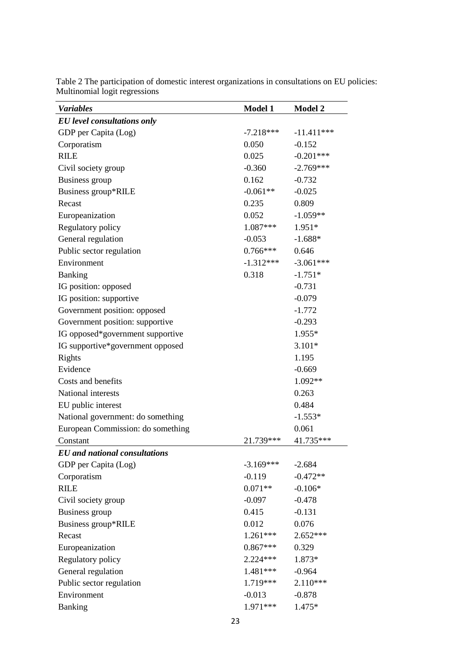| <b>Variables</b>                     | <b>Model 1</b> | <b>Model 2</b> |
|--------------------------------------|----------------|----------------|
| <b>EU</b> level consultations only   |                |                |
| GDP per Capita (Log)                 | $-7.218***$    | $-11.411***$   |
| Corporatism                          | 0.050          | $-0.152$       |
| <b>RILE</b>                          | 0.025          | $-0.201***$    |
| Civil society group                  | $-0.360$       | $-2.769***$    |
| Business group                       | 0.162          | $-0.732$       |
| Business group*RILE                  | $-0.061**$     | $-0.025$       |
| Recast                               | 0.235          | 0.809          |
| Europeanization                      | 0.052          | $-1.059**$     |
| Regulatory policy                    | 1.087***       | $1.951*$       |
| General regulation                   | $-0.053$       | $-1.688*$      |
| Public sector regulation             | $0.766***$     | 0.646          |
| Environment                          | $-1.312***$    | $-3.061***$    |
| <b>Banking</b>                       | 0.318          | $-1.751*$      |
| IG position: opposed                 |                | $-0.731$       |
| IG position: supportive              |                | $-0.079$       |
| Government position: opposed         |                | $-1.772$       |
| Government position: supportive      |                | $-0.293$       |
| IG opposed*government supportive     |                | 1.955*         |
| IG supportive*government opposed     |                | $3.101*$       |
| Rights                               |                | 1.195          |
| Evidence                             |                | $-0.669$       |
| Costs and benefits                   |                | 1.092**        |
| National interests                   |                | 0.263          |
| EU public interest                   |                | 0.484          |
| National government: do something    |                | $-1.553*$      |
| European Commission: do something    |                | 0.061          |
| Constant                             | 21.739***      | 41.735***      |
| <b>EU</b> and national consultations |                |                |
| GDP per Capita (Log)                 | $-3.169***$    | $-2.684$       |
| Corporatism                          | $-0.119$       | $-0.472**$     |
| <b>RILE</b>                          | $0.071**$      | $-0.106*$      |
| Civil society group                  | $-0.097$       | $-0.478$       |
| Business group                       | 0.415          | $-0.131$       |
| Business group*RILE                  | 0.012          | 0.076          |
| Recast                               | 1.261***       | $2.652***$     |
| Europeanization                      | $0.867***$     | 0.329          |
| Regulatory policy                    | $2.224***$     | 1.873*         |
| General regulation                   | $1.481***$     | $-0.964$       |
| Public sector regulation             | $1.719***$     | $2.110***$     |
| Environment                          | $-0.013$       | $-0.878$       |
| <b>Banking</b>                       | 1.971***       | 1.475*         |

Table 2 The participation of domestic interest organizations in consultations on EU policies: Multinomial logit regressions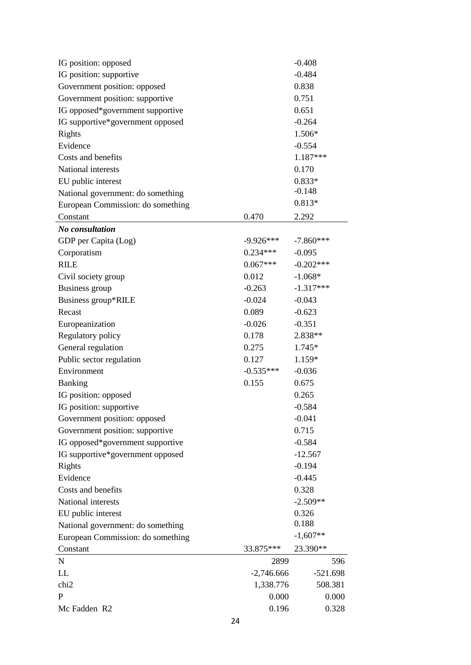| IG position: opposed              |              | $-0.408$    |
|-----------------------------------|--------------|-------------|
| IG position: supportive           |              | $-0.484$    |
| Government position: opposed      |              | 0.838       |
| Government position: supportive   |              | 0.751       |
| IG opposed*government supportive  |              | 0.651       |
| IG supportive*government opposed  |              | $-0.264$    |
| Rights                            |              | 1.506*      |
| Evidence                          |              | $-0.554$    |
| Costs and benefits                |              | 1.187***    |
| National interests                |              | 0.170       |
| EU public interest                |              | $0.833*$    |
| National government: do something |              | $-0.148$    |
| European Commission: do something |              | $0.813*$    |
| Constant                          | 0.470        | 2.292       |
| <b>No consultation</b>            |              |             |
| GDP per Capita (Log)              | -9.926***    | $-7.860***$ |
| Corporatism                       | $0.234***$   | $-0.095$    |
| <b>RILE</b>                       | $0.067***$   | $-0.202***$ |
| Civil society group               | 0.012        | $-1.068*$   |
| Business group                    | $-0.263$     | $-1.317***$ |
| Business group*RILE               | $-0.024$     | $-0.043$    |
| Recast                            | 0.089        | $-0.623$    |
| Europeanization                   | $-0.026$     | $-0.351$    |
| Regulatory policy                 | 0.178        | 2.838**     |
| General regulation                | 0.275        | 1.745*      |
| Public sector regulation          | 0.127        | 1.159*      |
| Environment                       | $-0.535***$  | $-0.036$    |
| <b>Banking</b>                    | 0.155        | 0.675       |
| IG position: opposed              |              | 0.265       |
| IG position: supportive           |              | $-0.584$    |
| Government position: opposed      |              | $-0.041$    |
| Government position: supportive   |              | 0.715       |
| IG opposed*government supportive  |              | $-0.584$    |
| IG supportive*government opposed  |              | $-12.567$   |
| Rights                            |              | $-0.194$    |
| Evidence                          |              | $-0.445$    |
| Costs and benefits                |              | 0.328       |
| National interests                |              | $-2.509**$  |
| EU public interest                |              | 0.326       |
| National government: do something |              | 0.188       |
| European Commission: do something |              | $-1,607**$  |
| Constant                          | 33.875***    | 23.390**    |
| N                                 | 2899         | 596         |
| LL                                | $-2,746.666$ |             |
| chi <sub>2</sub>                  | 1,338.776    | 508.381     |
| P                                 | 0.000        | 0.000       |
| Mc Fadden R2                      | 0.196        | 0.328       |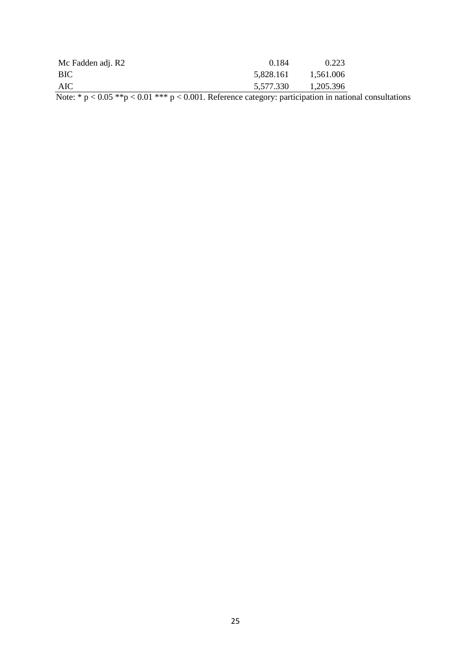| Mc Fadden adj. R2 | 0.184     | 0.223     |
|-------------------|-----------|-----------|
| <b>BIC</b>        | 5.828.161 | 1,561.006 |
| AIC               | 5,577.330 | 1,205.396 |

Note: \* p < 0.05 \*\*p < 0.01 \*\*\* p < 0.001. Reference category: participation in national consultations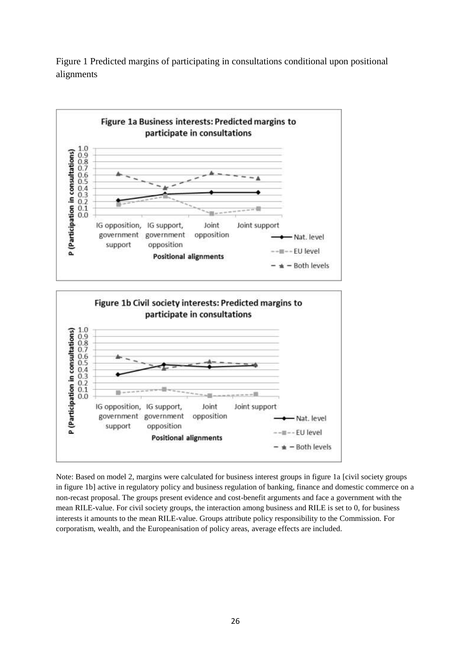Figure 1 Predicted margins of participating in consultations conditional upon positional alignments



Note: Based on model 2, margins were calculated for business interest groups in figure 1a [civil society groups in figure 1b] active in regulatory policy and business regulation of banking, finance and domestic commerce on a non-recast proposal. The groups present evidence and cost-benefit arguments and face a government with the mean RILE-value. For civil society groups, the interaction among business and RILE is set to 0, for business interests it amounts to the mean RILE-value. Groups attribute policy responsibility to the Commission. For corporatism, wealth, and the Europeanisation of policy areas, average effects are included.